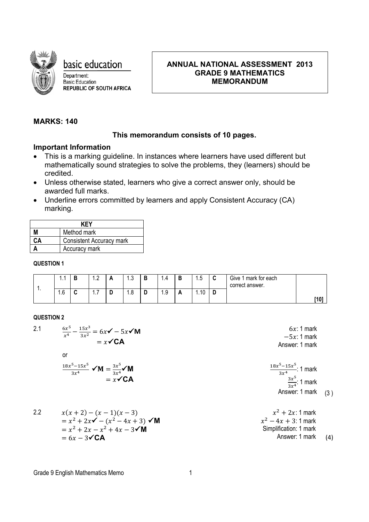

basic education

Department: Basic Education **REPUBLIC OF SOUTH AFRICA** 

# **ANNUAL NATIONAL ASSESSMENT 2013 GRADE 9 MATHEMATICS MEMORANDUM**

# **MARKS: 140**

## **This memorandum consists of 10 pages.**

## **Important Information**

- This is a marking guideline. In instances where learners have used different but mathematically sound strategies to solve the problems, they (learners) should be credited.
- Unless otherwise stated, learners who give a correct answer only, should be awarded full marks.
- Underline errors committed by learners and apply Consistent Accuracy (CA) marking.

| KFY |                                 |  |  |
|-----|---------------------------------|--|--|
| м   | Method mark                     |  |  |
| CА  | <b>Consistent Accuracy mark</b> |  |  |
|     | Accuracy mark                   |  |  |

### **QUESTION 1**

|     | . .                                             | $\sqrt{2}$<br>ے. | <i>r</i> | ن. ا | п.<br>D | 4                  | P  | $\cdot$ . $\cup$ | w | Give 1 mark for each<br>correct answer. |      |
|-----|-------------------------------------------------|------------------|----------|------|---------|--------------------|----|------------------|---|-----------------------------------------|------|
| . . | $\sim$<br>$\overline{\phantom{a}}$<br>ь<br>ن. ا | -<br>1.1         |          | 1.O  | ч       | $\sim$<br>u<br>ن ۱ | n. | 10<br>.          | ╺ |                                         | [10] |

### **QUESTION 2**

2.1 6<sup>5</sup> <sup>4</sup> <sup>−</sup> 15<sup>3</sup> 3<sup>2</sup> <sup>=</sup> <sup>6</sup> <sup>−</sup> <sup>5</sup>**<sup>M</sup>** = **CA** 6: 1 mark −5: 1 mark Answer: 1 mark or 185−155 3<sup>4</sup> <sup>=</sup> 3<sup>5</sup> 3<sup>4</sup>**<sup>M</sup>** = **CA** 185−155 3<sup>4</sup> : 1 mark 3<sup>5</sup> 3<sup>4</sup>: 1 mark Answer: 1 mark (3 ) 2.2 ( + 2) − ( − 1)( − 3) = <sup>2</sup> + 2 − (<sup>2</sup> − 4 + 3) **M** = <sup>2</sup> + 2 − <sup>2</sup> + 4 − 3**M** = 6 − 3**CA** <sup>2</sup> + 2: 1 mark <sup>2</sup> − 4 + 3: 1 mark Simplification: 1 mark Answer: 1 mark (4)

#### Grade 9 English Mathematics Memo<br>
1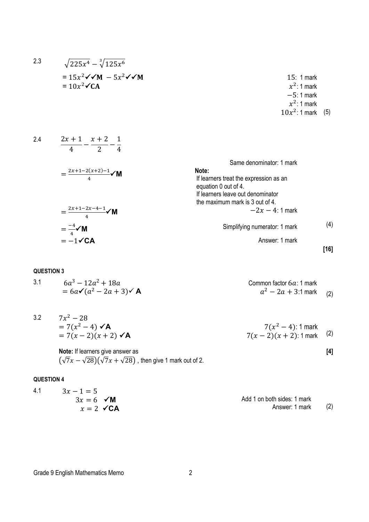$$
= 15x^{2} \checkmark M - 5x^{2} \checkmark M
$$
  
\n
$$
= 10x^{2} \checkmark CM
$$
  
\n
$$
= 10x^{2} \checkmark CM
$$
  
\n2.4  
\n
$$
\frac{2x + 1}{4} - \frac{x + 2}{2} - \frac{1}{4}
$$
  
\n
$$
= \frac{2x + 1 - 2(x + 2) - 1}{4} \checkmark M
$$
  
\n
$$
= \frac{2x + 1 - 2x - 4 - 1}{4} \checkmark M
$$
  
\n
$$
= \frac{-4}{4} \checkmark M
$$
  
\n
$$
= -1 \checkmark CM
$$
  
\n
$$
= -1 \checkmark CM
$$
  
\n
$$
= -1 \checkmark
$$
  
\n
$$
= -1 \checkmark
$$
  
\n
$$
= 161
$$
  
\n
$$
= 161
$$
  
\n
$$
= 161
$$
  
\n
$$
= 161
$$
  
\n
$$
= 161
$$
  
\n
$$
= 161
$$
  
\n
$$
= 161
$$
  
\n
$$
= 161
$$
  
\n
$$
= 161
$$
  
\n
$$
= 161
$$
  
\n
$$
= 161
$$
  
\n
$$
= 161
$$
  
\n
$$
= 161
$$
  
\n
$$
= 161
$$
  
\n
$$
= 161
$$
  
\n
$$
= 161
$$
  
\n
$$
= 161
$$
  
\n
$$
= 161
$$
  
\n
$$
= 161
$$
  
\n
$$
= 161
$$
  
\n
$$
= 161
$$
  
\n
$$
= 161
$$
  
\n
$$
= 161
$$
  
\n
$$
= 161
$$
  
\n
$$
= 161
$$
  
\n
$$
= 161
$$
  
\n
$$
= 161
$$
  
\n

2.3  $\sqrt{225x^4} - \sqrt[3]{125x^6}$ 

| $6a^3 - 12a^2 + 18a$                   | Common factor 6a: 1 mark  |
|----------------------------------------|---------------------------|
| $= 6a\checkmark(a^2-2a+3)\checkmark$ A | $a^2 - 2a + 3:1$ mark (2) |

| 3.2 | $7x^2 - 28$                    |                            |
|-----|--------------------------------|----------------------------|
|     | $= 7(x^2 - 4)$ $\checkmark$ A  | $7(x^2-4)$ : 1 mark        |
|     | $= 7(x-2)(x+2)$ $\checkmark$ A | $7(x-2)(x+2)$ : 1 mark (2) |

**[4]**

**Note:** If learners give answer as  $\left(\sqrt{7}x-\sqrt{28}\right)\left(\sqrt{7}x+\sqrt{28}\right)$  , then give 1 mark out of 2.

### **QUESTION 4**

| 4.1<br>$3x - 1 = 5$     |                             |     |
|-------------------------|-----------------------------|-----|
| $3x = 6$ $\checkmark$ M | Add 1 on both sides: 1 mark |     |
| $x = 2 \angle C A$      | Answer: 1 mark              | (2) |

Grade 9 English Mathematics Memo<br>
2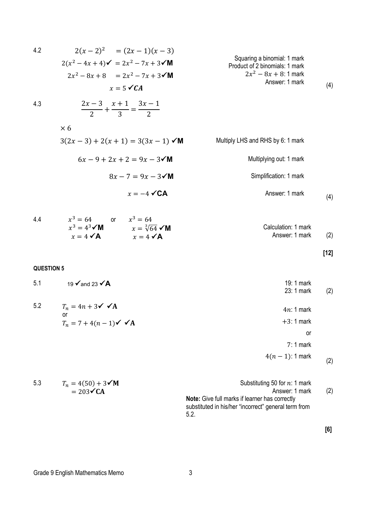4.2 
$$
2(x-2)^2 = (2x-1)(x-3)
$$
  
\n $2(x^2-4x+4)\checkmark = 2x^2-7x+3\checkmark M$   
\n $2x^2-8x+8 = 2x^2-7x+3\checkmark M$   
\n $x = 5\checkmark$ CA  
\n4.3  $\frac{2x-3}{2} + \frac{x+1}{3} = \frac{3x-1}{2}$   
\n $\times 6$   
\n $3(2x-3)+2(x+1) = 3(3x-1)\checkmark M$   
\n $6x-9+2x+2=9x-3\checkmark M$   
\n $x = -4\checkmark$ CA  
\n4.4  $x^3 = 64$   
\n $x^3 = 4^3\checkmark M$   
\n $x = 4\checkmark$ AA  
\n $x = 4\checkmark$ AA  
\n $x = 4\checkmark$ AA  
\n $x = 4\checkmark$ AA  
\n $x = 4\checkmark$ AA  
\n $x = 4\checkmark$ AA  
\n $12$   
\n4.100125170N 5  
\n5.1 19  $\checkmark$  and 23  $\checkmark$ AA  
\n $T_n = 7 + 4(n-1)\checkmark$   $\checkmark$ AA  
\n $T_n = 7 + 4(n-1)\checkmark$   $\checkmark$ AA  
\n $1$ 121  
\n4.10004  
\n4.21  
\n4.22  
\n4.3  
\n4.4  
\n4.5  
\n4.6  
\n4.7  
\n4.1  
\n4.1  
\n4.1  
\n4.1  
\n4.1  
\n4.2  
\n4.2  
\n4.3  
\n4.4  
\n4.4  
\n4.5  
\n4.5  
\n4.6  
\n4.7  
\n4.1  
\n4.1  
\n4.1  
\n4.1  
\n4.2  
\n4.2  
\n4.3  
\n4.3  
\n4.4  
\n4.5  
\n4.5  
\n4.6  
\n4.7  
\n4.8  
\n4.9  
\n4.1  
\n4.1  
\n4.1  
\n4.1  
\n4.2  
\

| 5.3 | $T_n = 4(50) + 3\sqrt{M}$ | Substituting 50 for $n:1$ mark                        |     |
|-----|---------------------------|-------------------------------------------------------|-----|
|     | $= 203 \checkmark$ CA     | Answer: 1 mark                                        | (2) |
|     |                           | <b>Note:</b> Give full marks if learner has correctly |     |
|     |                           | substituted in his/her "incorrect" general term from  |     |
|     |                           | 5.2                                                   |     |

Grade 9 English Mathematics Memo<br>
3

**[6]**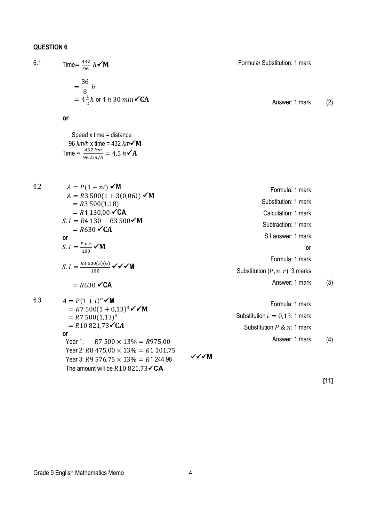6.1 Time = 
$$
\frac{432}{96} h \checkmark M
$$
  
\n=  $\frac{36}{8} h$   
\n=  $4\frac{1}{2}h$  or 4 h 30 min $\checkmark$  CA  
\nAnswer: 1 mark (2)

**or**

 Speed x time = distance 96 *km/h* x time = 432 *km* Time =  $\frac{432 \text{ km}}{96 \text{ km/h}}$  = 4,5  $h \checkmark$  A

6.2  $A = P(1 + ni)$   $\checkmark M$ 

6.2  
\n
$$
A = P(1 + ni) \checkmark M
$$
\n
$$
A = R3 500(1 + 3(0,06)) \checkmark M
$$
\n
$$
= R4 130,00 \checkmark A
$$
\n
$$
S.I = R4 130 - R3 500 \checkmark M
$$
\n
$$
= R630 \checkmark A
$$
\n
$$
S.I = \frac{P.n.r}{100} \checkmark M
$$
\n
$$
S.I = \frac{83 500(3)(6)}{100} \checkmark M
$$
\n
$$
= R630 \checkmark M
$$
\n
$$
S.I = \frac{83 500(3)(6)}{100} \checkmark M
$$
\n
$$
= R630 \checkmark M
$$
\n
$$
S.I = \frac{83 500(3)(6)}{100} \checkmark M
$$
\n
$$
= R7 500(1 + 0,13)^3 \checkmark M
$$
\n
$$
= R7 500(1 + 0,13)^3 \checkmark M
$$
\n
$$
= R7 500(1 + 0,13)^3 \checkmark M
$$
\n
$$
= R7 500(1 + 0,13)^3 \checkmark M
$$
\n
$$
= R7 500(1 + 0,13)^3 \checkmark M
$$
\n
$$
= R7 500(1 + 0,13)^3 \checkmark M
$$
\n
$$
= R7 500(1 + 0,13)^3 \checkmark M
$$
\n
$$
= R7 500(1 + 0,13)^3 \checkmark M
$$
\n
$$
= R7 500(1 + 0,13)^3 \checkmark M
$$
\n
$$
= R7 500(1 + 0,13)^3 \checkmark M
$$
\n
$$
= R7 500(1 + 0,13)^3 \checkmark M
$$
\n
$$
= R7 500(1 + 0,13)^3 \checkmark M
$$
\n
$$
= R7 500(1 + 0,13)^3 \checkmark M
$$
\n
$$
= R7 500(1 + 0,13)^3 \checkmark M
$$
\n
$$
= R7 500(1,13)^3 \check
$$

**[11]**

**or**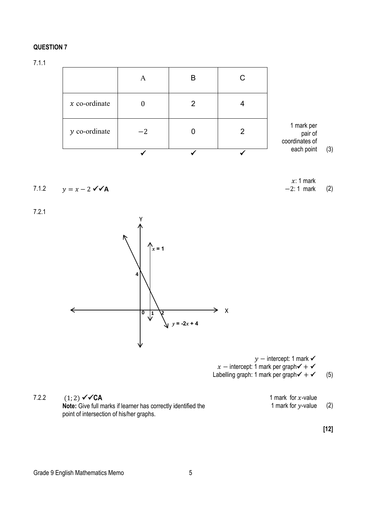7.1.1

|                 | A    | B | С |                                         |     |
|-----------------|------|---|---|-----------------------------------------|-----|
| $x$ co-ordinate |      | 2 |   |                                         |     |
| $y$ co-ordinate | $-2$ |   |   | 1 mark per<br>pair of<br>coordinates of |     |
|                 |      |   |   | each point                              | (3) |

$$
7.1.2 \qquad y = x - 2 \sqrt{A}
$$

7.2.1



 $y$  – intercept: 1 mark  $\checkmark$  $x$  – intercept: 1 mark per graph $\checkmark$  +  $\checkmark$ Labelling graph: 1 mark per graph $\checkmark$  +  $\checkmark$  (5)

# 7.2.2  $(1; 2) \sqrt{CA}$ **Note:** Give full marks if learner has correctly identified the point of intersection of his/her graphs.

1 mark for  $x$ -value 1 mark for  $y$ -value (2)

 $x: 1$  mark −2: 1 mark (2)

**[12]**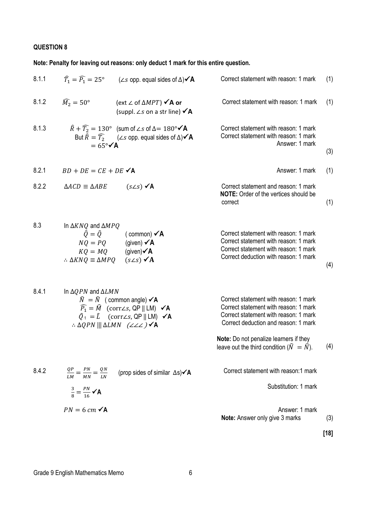**Note: Penalty for leaving out reasons: only deduct 1 mark for this entire question.**

| 8.1.1 | $\widehat{T}_1 = \widehat{P}_1 = 25^\circ$ ( $\angle s$ opp. equal sides of $\Delta$ ) $\checkmark$ A                                                                                                                                                                                                                              | Correct statement with reason: 1 mark                                                                                                                                                                                                                                       | (1)    |
|-------|------------------------------------------------------------------------------------------------------------------------------------------------------------------------------------------------------------------------------------------------------------------------------------------------------------------------------------|-----------------------------------------------------------------------------------------------------------------------------------------------------------------------------------------------------------------------------------------------------------------------------|--------|
| 8.1.2 | $\widehat{M}_2 = 50^\circ$<br>(ext ∠ of $\triangle MPT$ ) $\checkmark$ A or<br>(suppl. $\angle s$ on a str line) $\angle A$                                                                                                                                                                                                        | Correct statement with reason: 1 mark                                                                                                                                                                                                                                       | (1)    |
| 8.1.3 | $\widehat{R} + \widehat{T_2} = 130^{\circ}$ (sum of $\angle s$ of $\Delta = 180^{\circ} \check{ }$ A<br>But $\widehat{R} = \widehat{T_2}$ ( $\angle s$ opp. equal sides of $\Delta$ ) $\angle A$<br>$= 65^{\circ} \checkmark$ A                                                                                                    | Correct statement with reason: 1 mark<br>Correct statement with reason: 1 mark<br>Answer: 1 mark                                                                                                                                                                            | (3)    |
| 8.2.1 | $BD + DE = CE + DE \times A$                                                                                                                                                                                                                                                                                                       | Answer: 1 mark                                                                                                                                                                                                                                                              | (1)    |
| 8.2.2 | $(s\angle s)$ $\checkmark$ A<br>$\triangle ACD \equiv \triangle ABE$                                                                                                                                                                                                                                                               | Correct statement and reason: 1 mark<br>NOTE: Order of the vertices should be<br>correct                                                                                                                                                                                    | (1)    |
| 8.3   | In $\Delta KNQ$ and $\Delta MPQ$<br>$\hat{Q} = \hat{Q}$<br>(common) $\checkmark$ A<br>$NQ = PQ$ (given) $\angle A$<br>$KQ = MQ$ (given) $\angle A$<br>: $\triangle$ KNQ = $\triangle$ MPQ (s $\angle$ s) $\angle$ A                                                                                                                | Correct statement with reason: 1 mark<br>Correct statement with reason: 1 mark<br>Correct statement with reason: 1 mark<br>Correct deduction with reason: 1 mark                                                                                                            | (4)    |
| 8.4.1 | In $\triangle QPN$ and $\triangle LMN$<br>$\widehat{N} = \widehat{N}$ (common angle) $\checkmark$ A<br>$\widehat{P_1} = \widehat{M}$ (corr∠s, QP    LM) $\checkmark$ A<br>$\hat{Q}_1 = \hat{L}$ (corr∠s, QP    LM) $\checkmark$ A<br>$\therefore$ $\triangle$ QPN     $\triangle$ LMN ( $\angle$ $\angle$ $\angle$ ) $\triangle$ A | Correct statement with reason: 1 mark<br>Correct statement with reason: 1 mark<br>Correct statement with reason: 1 mark<br>Correct deduction and reason: 1 mark<br>Note: Do not penalize learners if they<br>leave out the third condition ( $\widehat{N} = \widehat{N}$ ). | (4)    |
| 8.4.2 | $\frac{QP}{LM} = \frac{PN}{MN} = \frac{QN}{LN}$<br>(prop sides of similar $\Delta s$ ) $\angle A$<br>$\frac{3}{8} = \frac{PN}{16} \sqrt{A}$                                                                                                                                                                                        | Correct statement with reason:1 mark<br>Substitution: 1 mark                                                                                                                                                                                                                |        |
|       | $PN = 6$ cm $\checkmark$ A                                                                                                                                                                                                                                                                                                         | Answer: 1 mark<br>Note: Answer only give 3 marks                                                                                                                                                                                                                            | (3)    |
|       |                                                                                                                                                                                                                                                                                                                                    |                                                                                                                                                                                                                                                                             | $[18]$ |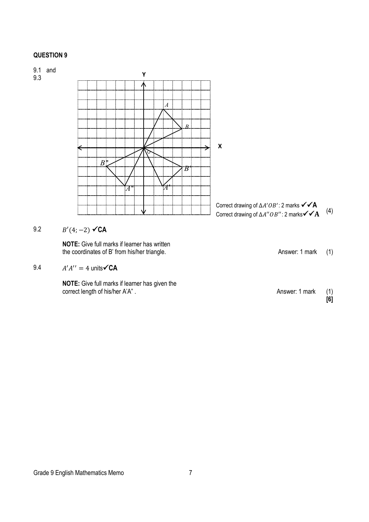

**NOTE:** Give full marks if learner has written the coordinates of B' from his/her triangle. Answer: 1 mark (1)

9.4 
$$
A'A'' = 4
$$
 units $\sqrt{CA}$ 

**NOTE:** Give full marks if learner has given the correct length of his/her A'A". Correct length of his/her A'A". Answer: 1 mark (1)

**[6]**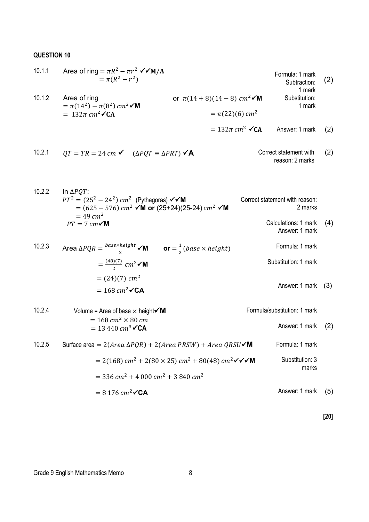| 10.1.1 | Area of ring = $\pi R^2 - \pi r^2 \sqrt{M/A}$<br>$= \pi (R^2 - r^2)$    |                                                     | Formula: 1 mark<br>Subtraction:<br>1 mark | (2) |
|--------|-------------------------------------------------------------------------|-----------------------------------------------------|-------------------------------------------|-----|
| 10.1.2 | Area of ring<br>$= \pi(14^2) - \pi(8^2)$ cm <sup>2</sup> $\checkmark M$ | or $\pi(14+8)(14-8)$ cm <sup>2</sup> $\checkmark$ M | Substitution:<br>1 mark                   |     |
|        | $= 132\pi$ cm <sup>2</sup> $\checkmark$ CA                              | $= \pi(22)(6)$ cm <sup>2</sup>                      |                                           |     |
|        |                                                                         | $= 132\pi$ cm <sup>2</sup> $\checkmark$ CA          | Answer: 1 mark                            | (2) |

10.2.1 
$$
QT = TR = 24 \, \text{cm} \cdot \quad (\Delta PQT \equiv \Delta PRT) \cdot \text{A}
$$
 Correct statement with  
reason: 2 marks

10.2.2 In ΔPQT:  
\n
$$
PT^{2} = (25^{2} - 24^{2}) \text{ cm}^{2} \text{ (Pythagoras) } \checkmark \checkmark M
$$
\n= (625 - 576) cm<sup>2</sup>  $\checkmark M$  or (25+24)(25-24) cm<sup>2</sup>  $\checkmark M$   
\n= 49 cm<sup>2</sup>  
\n
$$
PT = 7 \text{ cm} \checkmark M
$$
\n(4)

10.2.3 Area 
$$
\Delta PQR = \frac{base \times height}{2}
$$
 **or**  $= \frac{1}{2}(base \times height)$  Formula: 1 mark  
\n $= \frac{(48)(7)}{2} cm^2$  **or**  
\n $= (24)(7) cm^2$   
\n $= 168 cm^2$  **or**  $= 168$ 

| 10.2.4 | Volume = Area of base $\times$ height $\times$ M                                                                                     | Formula/substitution: 1 mark |     |
|--------|--------------------------------------------------------------------------------------------------------------------------------------|------------------------------|-----|
|        | $= 168$ cm <sup>2</sup> $\times$ 80 cm<br>$= 13440 \, \text{cm}^3 \sqrt{\text{CA}}$                                                  | Answer: 1 mark               | (2) |
| 10.2.5 | Surface area = $2(Area \Delta PQR) + 2(Area \, PRSW) + Area \, QRSU\check{$ M                                                        | Formula: 1 mark              |     |
|        | $= 2(168)$ cm <sup>2</sup> + 2(80 × 25) cm <sup>2</sup> + 80(48) cm <sup>2</sup> $\checkmark$ $\checkmark$ $\checkmark$ $\checkmark$ | Substitution: 3<br>marks     |     |
|        | $=$ 336 cm <sup>2</sup> + 4 000 cm <sup>2</sup> + 3 840 cm <sup>2</sup>                                                              |                              |     |
|        | $= 8176$ cm <sup>2</sup> $\checkmark$ CA                                                                                             | Answer: 1 mark               | (5) |

**[20]**

Answer: 1 mark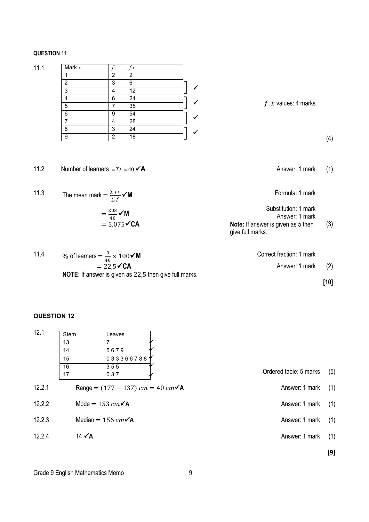|--|--|--|

| 11.1 | Mark $x$ |   | f.x |   |                       |
|------|----------|---|-----|---|-----------------------|
|      |          | າ | 2   |   |                       |
|      | っ        | 3 | 6   |   |                       |
|      | 3        | 4 | 12  | ✔ |                       |
|      | 4        | 6 | 24  |   |                       |
|      | 5        |   | 35  | ↵ | $f.x$ values: 4 marks |
|      | 6        | 9 | 54  | w |                       |
|      |          | Δ | 28  |   |                       |
|      | 8        | 3 | 24  | ≁ |                       |
|      | 9        | ົ | 18  |   |                       |
|      |          |   |     |   |                       |

11.2 Number of learners  $=\Sigma f = 40 \angle A$  Answer: 1 mark (1)

Formula: 1 mark

| Substitution: 1 mark                      |     |
|-------------------------------------------|-----|
| Answer: 1 mark                            |     |
| <b>Note:</b> If answer is given as 5 then | (3) |
| give full marks.                          |     |

11.4 % of learners  $= \frac{9}{40} \times 100 \times 10^{10}$  $= 22,5$ **<del>C</del>A** Correct fraction: 1 mark Answer: 1 mark (2) **NOTE:** If answer is given as 22,5 then give full marks.

**[10]**

(4)

### **QUESTION 12**

11.3 The mean mark =  $\frac{\sum fx}{\sum f}$  **M** 

 $=\frac{203}{40}$   $\checkmark$  M  $= 5,075$ **CA** 

| 12.1   | <b>Stem</b>       | Leaves                                             |                        |     |
|--------|-------------------|----------------------------------------------------|------------------------|-----|
|        | 13                | 7                                                  |                        |     |
|        | 14                | 5679                                               |                        |     |
|        | 15                | 033366788                                          |                        |     |
|        | 16<br>17          | 355<br>037                                         | Ordered table: 5 marks | (5) |
| 12.2.1 |                   | Range = $(177 - 137)$ cm = 40 cm $\sqrt{\text{A}}$ | Answer: 1 mark         | (1) |
| 12.2.2 |                   | Mode = 153 $cm\checkmark$ A                        | Answer: 1 mark         | (1) |
| 12.2.3 |                   | Median = 156 $cm\checkmark$ A                      | Answer: 1 mark         | (1) |
| 12.2.4 | $14 \checkmark$ A |                                                    | Answer: 1 mark         | (1) |
|        |                   |                                                    |                        |     |

**[9]**